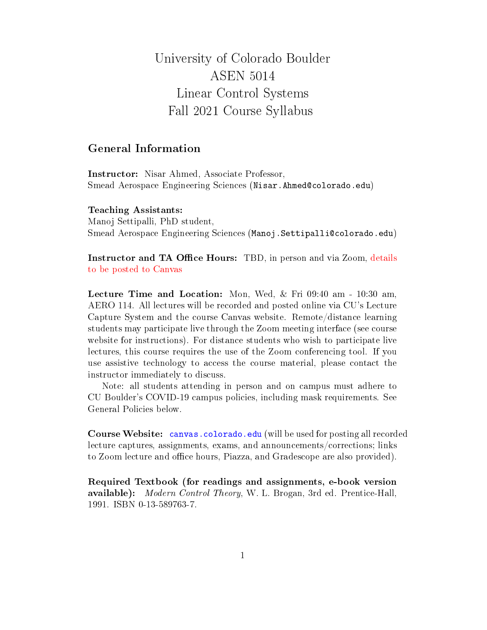# University of Colorado Boulder ASEN 5014 Linear Control Systems Fall 2021 Course Syllabus

## General Information

Instructor: Nisar Ahmed, Associate Professor, Smead Aerospace Engineering Sciences (Nisar.Ahmed@colorado.edu)

#### Teaching Assistants:

Manoj Settipalli, PhD student, Smead Aerospace Engineering Sciences (Manoj.Settipalli@colorado.edu)

Instructor and TA Office Hours: TBD, in person and via Zoom, details to be posted to Canvas

Lecture Time and Location: Mon, Wed,  $\&$  Fri 09:40 am - 10:30 am, AERO 114. All lectures will be recorded and posted online via CU's Lecture Capture System and the course Canvas website. Remote/distance learning students may participate live through the Zoom meeting interface (see course website for instructions). For distance students who wish to participate live lectures, this course requires the use of the Zoom conferencing tool. If you use assistive technology to access the course material, please contact the instructor immediately to discuss.

Note: all students attending in person and on campus must adhere to CU Boulder's COVID-19 campus policies, including mask requirements. See General Policies below.

Course Website: canvas.colorado.edu (will be used for posting all recorded lecture captures, assignments, exams, and announcements/corrections; links to Zoom lecture and office hours, Piazza, and Gradescope are also provided).

Required Textbook (for readings and assignments, e-book version available): Modern Control Theory, W. L. Brogan, 3rd ed. Prentice-Hall, 1991. ISBN 0-13-589763-7.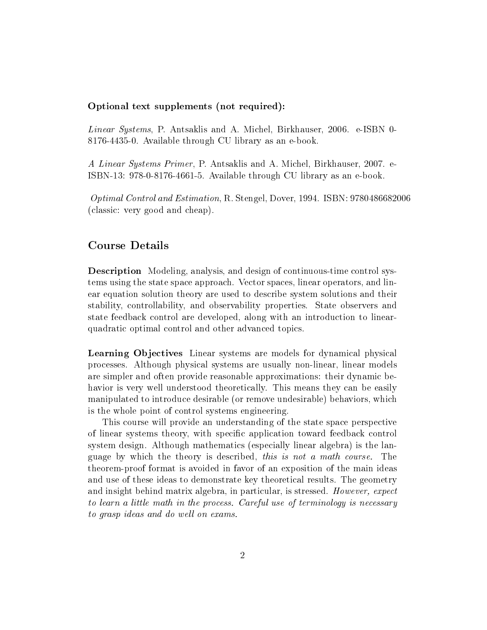### Optional text supplements (not required):

Linear Systems, P. Antsaklis and A. Michel, Birkhauser, 2006. e-ISBN 0- 8176-4435-0. Available through CU library as an e-book.

A Linear Systems Primer, P. Antsaklis and A. Michel, Birkhauser, 2007. e-ISBN-13: 978-0-8176-4661-5. Available through CU library as an e-book.

Optimal Control and Estimation, R. Stengel, Dover, 1994. ISBN: 9780486682006 (classic: very good and cheap).

## Course Details

Description Modeling, analysis, and design of continuous-time control systems using the state space approach. Vector spaces, linear operators, and linear equation solution theory are used to describe system solutions and their stability, controllability, and observability properties. State observers and state feedback control are developed, along with an introduction to linearquadratic optimal control and other advanced topics.

Learning Objectives Linear systems are models for dynamical physical processes. Although physical systems are usually non-linear, linear models are simpler and often provide reasonable approximations: their dynamic behavior is very well understood theoretically. This means they can be easily manipulated to introduce desirable (or remove undesirable) behaviors, which is the whole point of control systems engineering.

This course will provide an understanding of the state space perspective of linear systems theory, with specific application toward feedback control system design. Although mathematics (especially linear algebra) is the language by which the theory is described, this is not a math course. The theorem-proof format is avoided in favor of an exposition of the main ideas and use of these ideas to demonstrate key theoretical results. The geometry and insight behind matrix algebra, in particular, is stressed. However, expect to learn a little math in the process. Careful use of terminology is necessary to grasp ideas and do well on exams.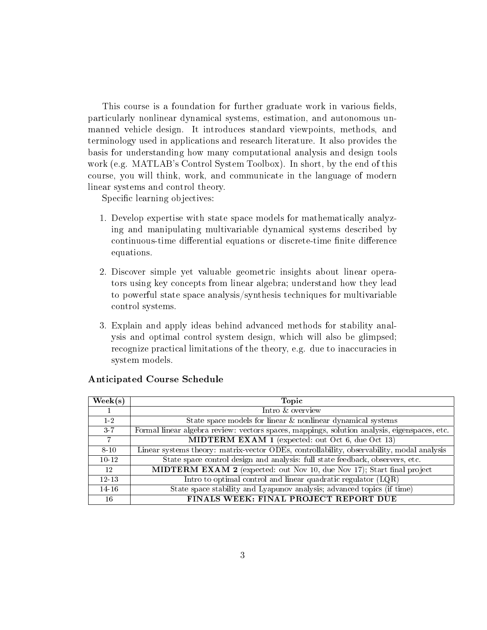This course is a foundation for further graduate work in various fields, particularly nonlinear dynamical systems, estimation, and autonomous unmanned vehicle design. It introduces standard viewpoints, methods, and terminology used in applications and research literature. It also provides the basis for understanding how many computational analysis and design tools work (e.g. MATLAB's Control System Toolbox). In short, by the end of this course, you will think, work, and communicate in the language of modern linear systems and control theory.

Specific learning objectives:

- 1. Develop expertise with state space models for mathematically analyzing and manipulating multivariable dynamical systems described by continuous-time differential equations or discrete-time finite difference equations.
- 2. Discover simple yet valuable geometric insights about linear operators using key concepts from linear algebra; understand how they lead to powerful state space analysis/synthesis techniques for multivariable control systems.
- 3. Explain and apply ideas behind advanced methods for stability analysis and optimal control system design, which will also be glimpsed; recognize practical limitations of the theory, e.g. due to inaccuracies in system models.

| $\text{Week}(s)$ | <b>Topic</b>                                                                                 |
|------------------|----------------------------------------------------------------------------------------------|
|                  | Intro & overview                                                                             |
| $1-2$            | State space models for linear & nonlinear dynamical systems                                  |
| $3 - 7$          | Formal linear algebra review: vectors spaces, mappings, solution analysis, eigenspaces, etc. |
| 7                | MIDTERM EXAM 1 (expected: out Oct 6, due Oct 13)                                             |
| $8 - 10$         | Linear systems theory: matrix-vector ODEs, controllability, observability, modal analysis    |
| $10 - 12$        | State space control design and analysis: full state feedback, observers, etc.                |
| 12               | <b>MIDTERM EXAM 2</b> (expected: out Nov 10, due Nov 17); Start final project                |
| $12 - 13$        | Intro to optimal control and linear quadratic regulator $(LQR)$                              |
| $14-16$          | State space stability and Lyapunov analysis; advanced topics (if time)                       |
| 16               | FINALS WEEK: FINAL PROJECT REPORT DUE                                                        |

#### Anticipated Course Schedule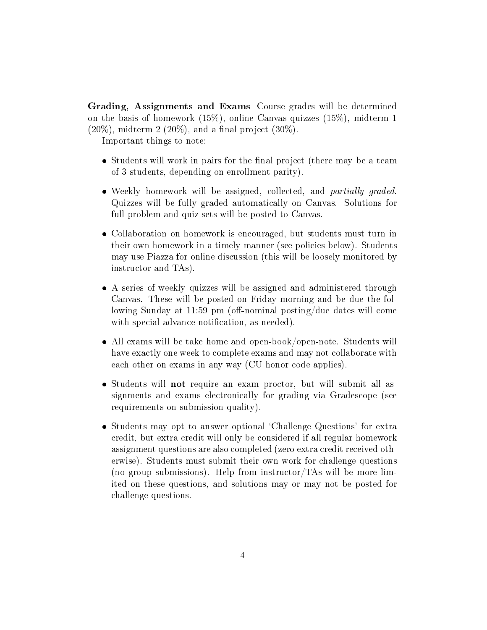Grading, Assignments and Exams Course grades will be determined on the basis of homework (15%), online Canvas quizzes (15%), midterm 1  $(20\%)$ , midterm 2  $(20\%)$ , and a final project  $(30\%).$ 

Important things to note:

- Students will work in pairs for the final project (there may be a team of 3 students, depending on enrollment parity).
- Weekly homework will be assigned, collected, and *partially graded*. Quizzes will be fully graded automatically on Canvas. Solutions for full problem and quiz sets will be posted to Canvas.
- Collaboration on homework is encouraged, but students must turn in their own homework in a timely manner (see policies below). Students may use Piazza for online discussion (this will be loosely monitored by instructor and TAs).
- A series of weekly quizzes will be assigned and administered through Canvas. These will be posted on Friday morning and be due the following Sunday at 11:59 pm (off-nominal posting/due dates will come with special advance notification, as needed).
- All exams will be take home and open-book/open-note. Students will have exactly one week to complete exams and may not collaborate with each other on exams in any way (CU honor code applies).
- Students will not require an exam proctor, but will submit all assignments and exams electronically for grading via Gradescope (see requirements on submission quality).
- Students may opt to answer optional 'Challenge Questions' for extra credit, but extra credit will only be considered if all regular homework assignment questions are also completed (zero extra credit received otherwise). Students must submit their own work for challenge questions (no group submissions). Help from instructor/TAs will be more limited on these questions, and solutions may or may not be posted for challenge questions.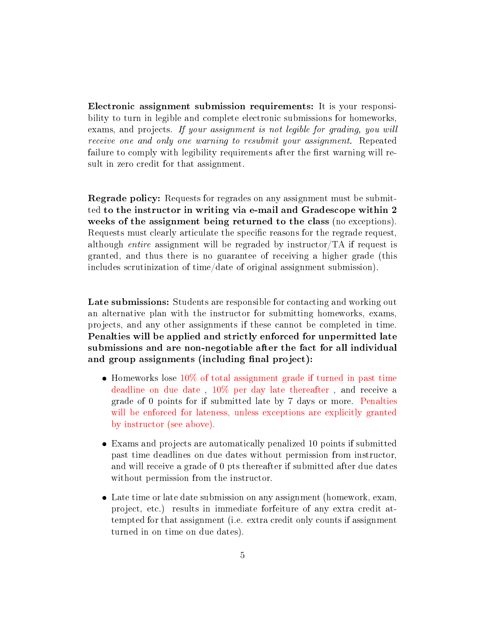Electronic assignment submission requirements: It is your responsibility to turn in legible and complete electronic submissions for homeworks, exams, and projects. If your assignment is not legible for grading, you will receive one and only one warning to resubmit your assignment. Repeated failure to comply with legibility requirements after the first warning will result in zero credit for that assignment.

Regrade policy: Requests for regrades on any assignment must be submitted to the instructor in writing via e-mail and Gradescope within 2 weeks of the assignment being returned to the class (no exceptions). Requests must clearly articulate the specific reasons for the regrade request, although entire assignment will be regraded by instructor/TA if request is granted, and thus there is no guarantee of receiving a higher grade (this includes scrutinization of time/date of original assignment submission).

Late submissions: Students are responsible for contacting and working out an alternative plan with the instructor for submitting homeworks, exams, projects, and any other assignments if these cannot be completed in time. Penalties will be applied and strictly enforced for unpermitted late submissions and are non-negotiable after the fact for all individual and group assignments (including final project):

- Homeworks lose 10% of total assignment grade if turned in past time deadline on due date , 10% per day late thereafter , and receive a grade of 0 points for if submitted late by 7 days or more. Penalties will be enforced for lateness, unless exceptions are explicitly granted by instructor (see above).
- Exams and projects are automatically penalized 10 points if submitted past time deadlines on due dates without permission from instructor, and will receive a grade of 0 pts thereafter if submitted after due dates without permission from the instructor.
- Late time or late date submission on any assignment (homework, exam, project, etc.) results in immediate forfeiture of any extra credit attempted for that assignment (i.e. extra credit only counts if assignment turned in on time on due dates).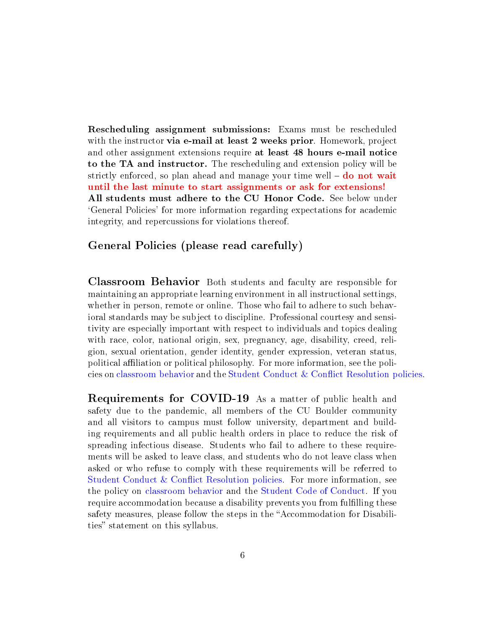Rescheduling assignment submissions: Exams must be rescheduled with the instructor **via e-mail at least 2 weeks prior**. Homework, project and other assignment extensions require at least 48 hours e-mail notice to the TA and instructor. The rescheduling and extension policy will be strictly enforced, so plan ahead and manage your time well  $-\textbf{do not wait}$ until the last minute to start assignments or ask for extensions! All students must adhere to the CU Honor Code. See below under `General Policies' for more information regarding expectations for academic integrity, and repercussions for violations thereof.

## General Policies (please read carefully)

Classroom Behavior Both students and faculty are responsible for maintaining an appropriate learning environment in all instructional settings, whether in person, remote or online. Those who fail to adhere to such behavioral standards may be subject to discipline. Professional courtesy and sensitivity are especially important with respect to individuals and topics dealing with race, color, national origin, sex, pregnancy, age, disability, creed, religion, sexual orientation, gender identity, gender expression, veteran status, political aliation or political philosophy. For more information, see the policies on classroom behavior and the Student Conduct & Conict Resolution policies.

Requirements for COVID-19 As a matter of public health and safety due to the pandemic, all members of the CU Boulder community and all visitors to campus must follow university, department and building requirements and all public health orders in place to reduce the risk of spreading infectious disease. Students who fail to adhere to these requirements will be asked to leave class, and students who do not leave class when asked or who refuse to comply with these requirements will be referred to Student Conduct & Conflict Resolution policies. For more information, see the policy on classroom behavior and the Student Code of Conduct. If you require accommodation because a disability prevents you from fulfilling these safety measures, please follow the steps in the "Accommodation for Disabilities" statement on this syllabus.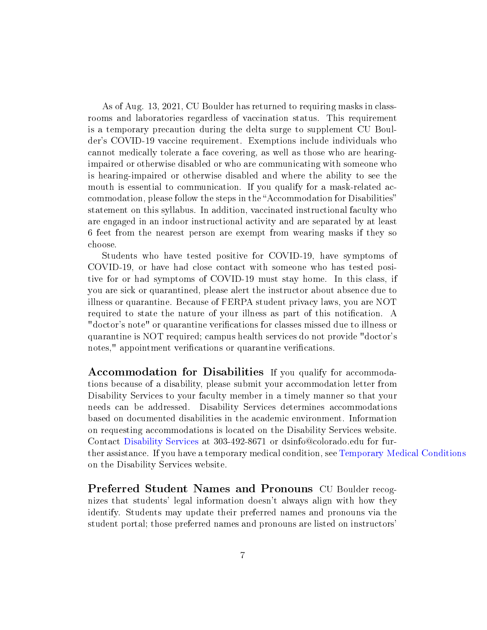As of Aug. 13, 2021, CU Boulder has returned to requiring masks in classrooms and laboratories regardless of vaccination status. This requirement is a temporary precaution during the delta surge to supplement CU Boulder's COVID-19 vaccine requirement. Exemptions include individuals who cannot medically tolerate a face covering, as well as those who are hearingimpaired or otherwise disabled or who are communicating with someone who is hearing-impaired or otherwise disabled and where the ability to see the mouth is essential to communication. If you qualify for a mask-related accommodation, please follow the steps in the "Accommodation for Disabilities" statement on this syllabus. In addition, vaccinated instructional faculty who are engaged in an indoor instructional activity and are separated by at least 6 feet from the nearest person are exempt from wearing masks if they so choose.

Students who have tested positive for COVID-19, have symptoms of COVID-19, or have had close contact with someone who has tested positive for or had symptoms of COVID-19 must stay home. In this class, if you are sick or quarantined, please alert the instructor about absence due to illness or quarantine. Because of FERPA student privacy laws, you are NOT required to state the nature of your illness as part of this notification. A "doctor's note" or quarantine verifications for classes missed due to illness or quarantine is NOT required; campus health services do not provide "doctor's notes," appointment verifications or quarantine verifications.

Accommodation for Disabilities If you qualify for accommodations because of a disability, please submit your accommodation letter from Disability Services to your faculty member in a timely manner so that your needs can be addressed. Disability Services determines accommodations based on documented disabilities in the academic environment. Information on requesting accommodations is located on the Disability Services website. Contact Disability Services at 303-492-8671 or dsinfo@colorado.edu for further assistance. If you have a temporary medical condition, see Temporary Medical Conditions on the Disability Services website.

Preferred Student Names and Pronouns CU Boulder recognizes that students' legal information doesn't always align with how they identify. Students may update their preferred names and pronouns via the student portal; those preferred names and pronouns are listed on instructors'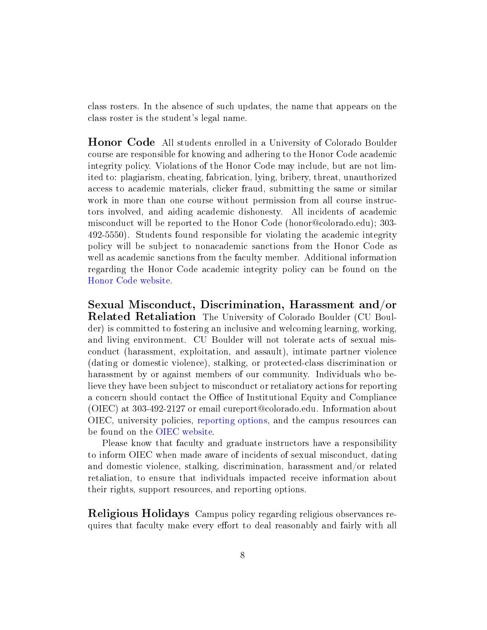class rosters. In the absence of such updates, the name that appears on the class roster is the student's legal name.

Honor Code All students enrolled in a University of Colorado Boulder course are responsible for knowing and adhering to the Honor Code academic integrity policy. Violations of the Honor Code may include, but are not limited to: plagiarism, cheating, fabrication, lying, bribery, threat, unauthorized access to academic materials, clicker fraud, submitting the same or similar work in more than one course without permission from all course instructors involved, and aiding academic dishonesty. All incidents of academic misconduct will be reported to the Honor Code (honor@colorado.edu); 303- 492-5550). Students found responsible for violating the academic integrity policy will be subject to nonacademic sanctions from the Honor Code as well as academic sanctions from the faculty member. Additional information regarding the Honor Code academic integrity policy can be found on the Honor Code website.

Sexual Misconduct, Discrimination, Harassment and/or Related Retaliation The University of Colorado Boulder (CU Boulder) is committed to fostering an inclusive and welcoming learning, working, and living environment. CU Boulder will not tolerate acts of sexual misconduct (harassment, exploitation, and assault), intimate partner violence (dating or domestic violence), stalking, or protected-class discrimination or harassment by or against members of our community. Individuals who believe they have been subject to misconduct or retaliatory actions for reporting a concern should contact the Office of Institutional Equity and Compliance (OIEC) at 303-492-2127 or email cureport@colorado.edu. Information about OIEC, university policies, reporting options, and the campus resources can be found on the OIEC website.

Please know that faculty and graduate instructors have a responsibility to inform OIEC when made aware of incidents of sexual misconduct, dating and domestic violence, stalking, discrimination, harassment and/or related retaliation, to ensure that individuals impacted receive information about their rights, support resources, and reporting options.

Religious Holidays Campus policy regarding religious observances requires that faculty make every effort to deal reasonably and fairly with all